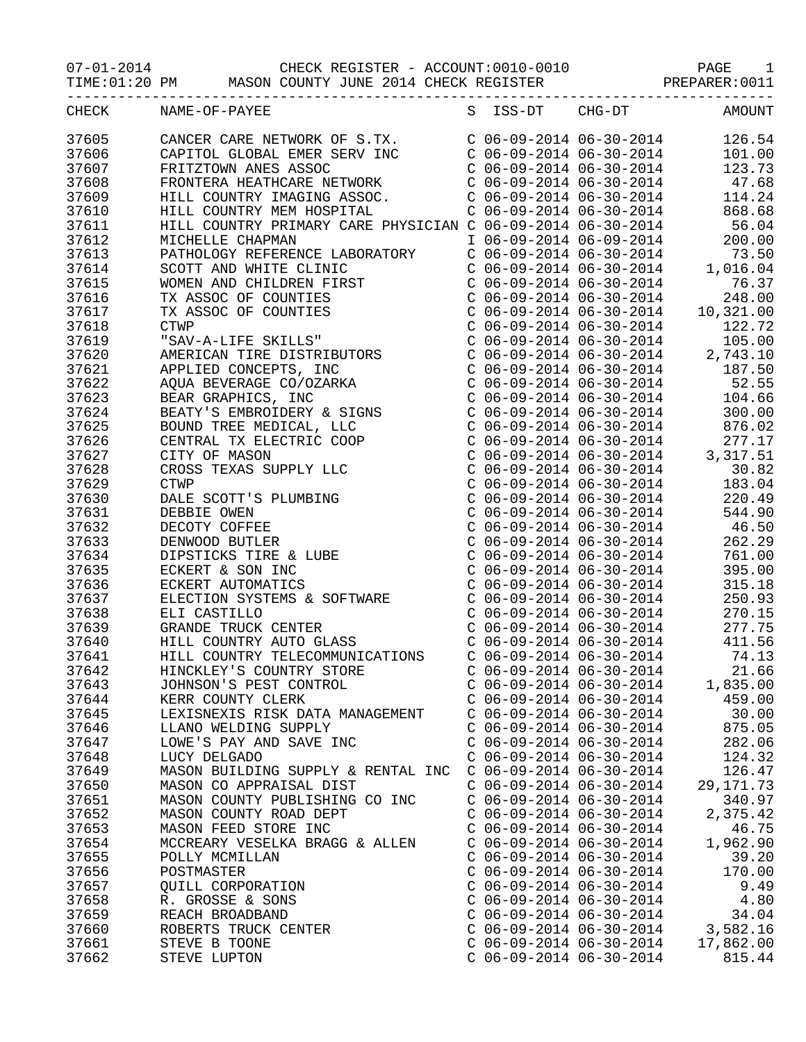07-01-2014 CHECK REGISTER - ACCOUNT:0010-0010 PAGE 1

TIME:01:20 PM MASON COUNTY JUNE 2014 CHECK REGISTER PREPARER:0011

|                | CHECK NAME-OF-PAYEE                                                                                                                                                                                                                                                                                                                            |                           | S ISS-DT CHG-DT AMOUNT                                                                                                                                                                                                                                     |
|----------------|------------------------------------------------------------------------------------------------------------------------------------------------------------------------------------------------------------------------------------------------------------------------------------------------------------------------------------------------|---------------------------|------------------------------------------------------------------------------------------------------------------------------------------------------------------------------------------------------------------------------------------------------------|
| 37605          | CANCER CARE NETWORK OF S.TX. C 06-09-2014 06-30-2014 126.54<br>CAPITOL GLOBAL EMER SERV INC C 06-09-2014 06-30-2014 101.00<br>FRITZTOWN ANES ASSOC C 06-09-2014 06-30-2014 123.73<br>FRONTERA HEATHCARE NETWORK C 06-09-2014 06-30-2                                                                                                           |                           |                                                                                                                                                                                                                                                            |
| 37606          |                                                                                                                                                                                                                                                                                                                                                |                           |                                                                                                                                                                                                                                                            |
| 37607          |                                                                                                                                                                                                                                                                                                                                                |                           |                                                                                                                                                                                                                                                            |
| 37608          |                                                                                                                                                                                                                                                                                                                                                |                           |                                                                                                                                                                                                                                                            |
| 37609          |                                                                                                                                                                                                                                                                                                                                                |                           |                                                                                                                                                                                                                                                            |
| 37610          |                                                                                                                                                                                                                                                                                                                                                |                           |                                                                                                                                                                                                                                                            |
| 37611          |                                                                                                                                                                                                                                                                                                                                                |                           |                                                                                                                                                                                                                                                            |
| 37612          |                                                                                                                                                                                                                                                                                                                                                |                           |                                                                                                                                                                                                                                                            |
| 37613          |                                                                                                                                                                                                                                                                                                                                                |                           |                                                                                                                                                                                                                                                            |
| 37614          |                                                                                                                                                                                                                                                                                                                                                |                           |                                                                                                                                                                                                                                                            |
| 37615          |                                                                                                                                                                                                                                                                                                                                                |                           |                                                                                                                                                                                                                                                            |
| 37616          |                                                                                                                                                                                                                                                                                                                                                |                           |                                                                                                                                                                                                                                                            |
| 37617          |                                                                                                                                                                                                                                                                                                                                                |                           |                                                                                                                                                                                                                                                            |
| 37618          |                                                                                                                                                                                                                                                                                                                                                |                           |                                                                                                                                                                                                                                                            |
| 37619          |                                                                                                                                                                                                                                                                                                                                                |                           |                                                                                                                                                                                                                                                            |
| 37620          |                                                                                                                                                                                                                                                                                                                                                |                           |                                                                                                                                                                                                                                                            |
| 37621          |                                                                                                                                                                                                                                                                                                                                                |                           |                                                                                                                                                                                                                                                            |
| 37622          |                                                                                                                                                                                                                                                                                                                                                |                           |                                                                                                                                                                                                                                                            |
| 37623          |                                                                                                                                                                                                                                                                                                                                                |                           |                                                                                                                                                                                                                                                            |
|                |                                                                                                                                                                                                                                                                                                                                                |                           |                                                                                                                                                                                                                                                            |
| 37624<br>37625 |                                                                                                                                                                                                                                                                                                                                                |                           |                                                                                                                                                                                                                                                            |
|                |                                                                                                                                                                                                                                                                                                                                                |                           |                                                                                                                                                                                                                                                            |
| 37626          |                                                                                                                                                                                                                                                                                                                                                |                           |                                                                                                                                                                                                                                                            |
| 37627          |                                                                                                                                                                                                                                                                                                                                                |                           |                                                                                                                                                                                                                                                            |
| 37628          |                                                                                                                                                                                                                                                                                                                                                |                           |                                                                                                                                                                                                                                                            |
| 37629          | $\begin{tabular}{l c c c c c} {\it HILL COUNTRY MEM HOSPITRL}& $\check{\tt C\ 06-09-2014\ 06-30-2014}$ & $\check{\tt 668.68}$ \\ {\it HILL COUNTRY PRLIMARY CARE PHYSICIAN C\ 06-09-2014\ 06-30-2014\ 06-30-2014\ 06-30-2014\ 06-30-2014\ 073.50\ 000\\ {\it PATHOLOGY REFERERENCE LABORATORY} & $\check{\tt C\ 06-09-2014\ 06-30-2014\ 073.5$ |                           |                                                                                                                                                                                                                                                            |
| 37630          |                                                                                                                                                                                                                                                                                                                                                |                           | $277.17$<br>$206-09-2014$ $06-30-2014$<br>$277.17$<br>$206-09-2014$ $06-30-2014$<br>$3,317.51$<br>$206-09-2014$ $06-30-2014$<br>$30.82$<br>$206-09-2014$ $06-30-2014$<br>$183.04$<br>$220.49$<br>$220.49$<br>$20.49$<br>$20.49$<br>$20.49$<br>$244.90$<br> |
| 37631          |                                                                                                                                                                                                                                                                                                                                                |                           |                                                                                                                                                                                                                                                            |
| 37632          |                                                                                                                                                                                                                                                                                                                                                |                           |                                                                                                                                                                                                                                                            |
| 37633          |                                                                                                                                                                                                                                                                                                                                                |                           |                                                                                                                                                                                                                                                            |
| 37634          |                                                                                                                                                                                                                                                                                                                                                |                           |                                                                                                                                                                                                                                                            |
| 37635          |                                                                                                                                                                                                                                                                                                                                                |                           |                                                                                                                                                                                                                                                            |
| 37636          |                                                                                                                                                                                                                                                                                                                                                |                           |                                                                                                                                                                                                                                                            |
| 37637          |                                                                                                                                                                                                                                                                                                                                                |                           |                                                                                                                                                                                                                                                            |
| 37638          |                                                                                                                                                                                                                                                                                                                                                |                           |                                                                                                                                                                                                                                                            |
| 37639          |                                                                                                                                                                                                                                                                                                                                                |                           |                                                                                                                                                                                                                                                            |
| 37640          |                                                                                                                                                                                                                                                                                                                                                |                           |                                                                                                                                                                                                                                                            |
| 37641          |                                                                                                                                                                                                                                                                                                                                                |                           |                                                                                                                                                                                                                                                            |
| 37642          | HINCKLEY'S COUNTRY STORE                                                                                                                                                                                                                                                                                                                       |                           | $C$ 06-09-2014 06-30-2014 21.66                                                                                                                                                                                                                            |
| 37643          | JOHNSON'S PEST CONTROL                                                                                                                                                                                                                                                                                                                         | $C$ 06-09-2014 06-30-2014 | 1,835.00                                                                                                                                                                                                                                                   |
| 37644          | KERR COUNTY CLERK                                                                                                                                                                                                                                                                                                                              | $C$ 06-09-2014 06-30-2014 | 459.00                                                                                                                                                                                                                                                     |
| 37645          | LEXISNEXIS RISK DATA MANAGEMENT                                                                                                                                                                                                                                                                                                                | $C$ 06-09-2014 06-30-2014 | 30.00                                                                                                                                                                                                                                                      |
| 37646          | LLANO WELDING SUPPLY                                                                                                                                                                                                                                                                                                                           | $C$ 06-09-2014 06-30-2014 | 875.05                                                                                                                                                                                                                                                     |
| 37647          | LOWE'S PAY AND SAVE INC                                                                                                                                                                                                                                                                                                                        | $C$ 06-09-2014 06-30-2014 | 282.06                                                                                                                                                                                                                                                     |
| 37648          | LUCY DELGADO                                                                                                                                                                                                                                                                                                                                   | $C$ 06-09-2014 06-30-2014 | 124.32                                                                                                                                                                                                                                                     |
| 37649          | MASON BUILDING SUPPLY & RENTAL INC                                                                                                                                                                                                                                                                                                             | $C$ 06-09-2014 06-30-2014 | 126.47                                                                                                                                                                                                                                                     |
| 37650          | MASON CO APPRAISAL DIST                                                                                                                                                                                                                                                                                                                        | $C$ 06-09-2014 06-30-2014 | 29, 171. 73                                                                                                                                                                                                                                                |
| 37651          | MASON COUNTY PUBLISHING CO INC                                                                                                                                                                                                                                                                                                                 | $C$ 06-09-2014 06-30-2014 | 340.97                                                                                                                                                                                                                                                     |
| 37652          | MASON COUNTY ROAD DEPT                                                                                                                                                                                                                                                                                                                         | $C$ 06-09-2014 06-30-2014 | 2,375.42                                                                                                                                                                                                                                                   |
| 37653          | MASON FEED STORE INC                                                                                                                                                                                                                                                                                                                           | $C$ 06-09-2014 06-30-2014 | 46.75                                                                                                                                                                                                                                                      |
| 37654          | MCCREARY VESELKA BRAGG & ALLEN                                                                                                                                                                                                                                                                                                                 | $C$ 06-09-2014 06-30-2014 | 1,962.90                                                                                                                                                                                                                                                   |
| 37655          | POLLY MCMILLAN                                                                                                                                                                                                                                                                                                                                 | $C$ 06-09-2014 06-30-2014 | 39.20                                                                                                                                                                                                                                                      |
| 37656          | POSTMASTER                                                                                                                                                                                                                                                                                                                                     | $C$ 06-09-2014 06-30-2014 | 170.00                                                                                                                                                                                                                                                     |
| 37657          | QUILL CORPORATION                                                                                                                                                                                                                                                                                                                              | $C$ 06-09-2014 06-30-2014 | 9.49                                                                                                                                                                                                                                                       |
| 37658          | R. GROSSE & SONS                                                                                                                                                                                                                                                                                                                               | $C$ 06-09-2014 06-30-2014 | 4.80                                                                                                                                                                                                                                                       |
| 37659          | REACH BROADBAND                                                                                                                                                                                                                                                                                                                                | $C$ 06-09-2014 06-30-2014 | 34.04                                                                                                                                                                                                                                                      |
| 37660          | ROBERTS TRUCK CENTER                                                                                                                                                                                                                                                                                                                           | $C$ 06-09-2014 06-30-2014 | 3,582.16                                                                                                                                                                                                                                                   |
| 37661          | STEVE B TOONE                                                                                                                                                                                                                                                                                                                                  | $C$ 06-09-2014 06-30-2014 | 17,862.00                                                                                                                                                                                                                                                  |
| 37662          | STEVE LUPTON                                                                                                                                                                                                                                                                                                                                   | $C$ 06-09-2014 06-30-2014 | 815.44                                                                                                                                                                                                                                                     |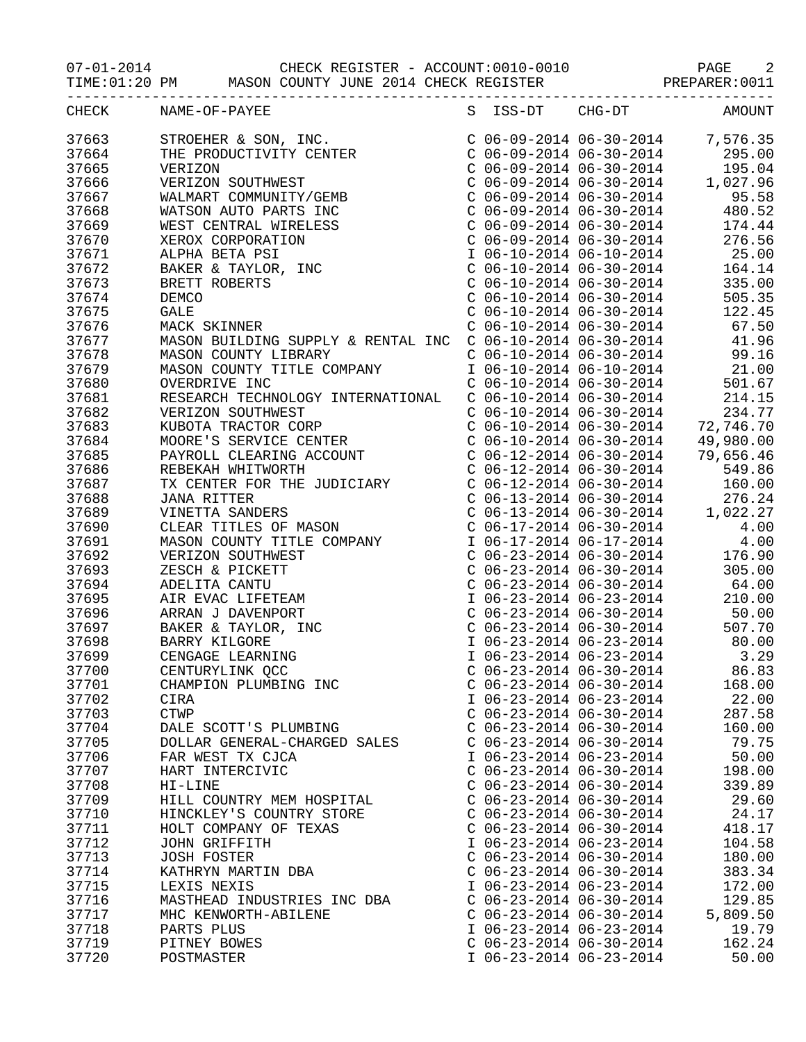07-01-2014 CHECK REGISTER - ACCOUNT:0010-0010 PAGE 2

|       |                    | TIME:01:20 PM MASON COUNTY JUNE 2014 CHECK REGISTER PREPARER:0011                                                                                                                                                                                                     |   |                           |               |                                                                                                                                                                                                                                                        |
|-------|--------------------|-----------------------------------------------------------------------------------------------------------------------------------------------------------------------------------------------------------------------------------------------------------------------|---|---------------------------|---------------|--------------------------------------------------------------------------------------------------------------------------------------------------------------------------------------------------------------------------------------------------------|
| CHECK | NAME-OF-PAYEE      |                                                                                                                                                                                                                                                                       | S |                           | ISS-DT CHG-DT | <b>AMOUNT</b>                                                                                                                                                                                                                                          |
| 37663 |                    | STROEHER & SON, INC.<br>THE PRODUCTIVITY CENTER<br>VERIZON<br>VERIZON SOUTHWEST<br>WALMART COMMUNITY/GEMB<br>WATSON AUTO PARTS INC<br>WEST CENTRAL WIRELESS<br>XEROX CORPORATION<br>ALPHA BETA PSI<br>BAKER & TAYLOR, INC<br>BRETT ROBERTS<br>DEMCO<br>GALE<br>WACK S |   |                           |               |                                                                                                                                                                                                                                                        |
| 37664 |                    |                                                                                                                                                                                                                                                                       |   |                           |               |                                                                                                                                                                                                                                                        |
| 37665 |                    |                                                                                                                                                                                                                                                                       |   |                           |               |                                                                                                                                                                                                                                                        |
| 37666 |                    |                                                                                                                                                                                                                                                                       |   |                           |               |                                                                                                                                                                                                                                                        |
| 37667 |                    |                                                                                                                                                                                                                                                                       |   |                           |               |                                                                                                                                                                                                                                                        |
| 37668 |                    |                                                                                                                                                                                                                                                                       |   |                           |               |                                                                                                                                                                                                                                                        |
| 37669 |                    |                                                                                                                                                                                                                                                                       |   |                           |               |                                                                                                                                                                                                                                                        |
| 37670 |                    |                                                                                                                                                                                                                                                                       |   |                           |               | C 06-09-2014 06-30-2014<br>C 06-09-2014 06-30-2014 480.52<br>C 06-09-2014 06-30-2014 480.52<br>C 06-09-2014 06-30-2014 174.44<br>C 06-09-2014 06-30-2014 276.56<br>I 06-10-2014 06-10-2014 25.00                                                       |
| 37671 |                    |                                                                                                                                                                                                                                                                       |   |                           |               |                                                                                                                                                                                                                                                        |
| 37672 |                    |                                                                                                                                                                                                                                                                       |   |                           |               | C $06-10-2014$ $06-30-2014$ 164.14                                                                                                                                                                                                                     |
| 37673 |                    |                                                                                                                                                                                                                                                                       |   |                           |               |                                                                                                                                                                                                                                                        |
| 37674 |                    |                                                                                                                                                                                                                                                                       |   |                           |               | $\begin{tabular}{lllllllll} $\texttt{C} & 06-10-2014 & 06-30-2014 & & 335.00 \\ $\texttt{C} & 06-10-2014 & 06-30-2014 & & 505.35 \\ $\texttt{C} & 06-10-2014 & 06-30-2014 & & 122.45 \\ $\texttt{C} & 06-10-2014 & 06-30-2014 & & 67.50 \end{tabular}$ |
| 37675 |                    |                                                                                                                                                                                                                                                                       |   |                           |               |                                                                                                                                                                                                                                                        |
| 37676 |                    |                                                                                                                                                                                                                                                                       |   |                           |               |                                                                                                                                                                                                                                                        |
| 37677 |                    | MASON BUILDING SUPPLY & RENTAL INC                                                                                                                                                                                                                                    |   |                           |               | $C$ 06-10-2014 06-30-2014 41.96                                                                                                                                                                                                                        |
| 37678 |                    |                                                                                                                                                                                                                                                                       |   |                           |               | $C$ 06-10-2014 06-30-2014 99.16                                                                                                                                                                                                                        |
| 37679 |                    | MASON COUNTY LIBRARY<br>MASON COUNTY TITLE COMPANY                                                                                                                                                                                                                    |   |                           |               |                                                                                                                                                                                                                                                        |
| 37680 | OVERDRIVE INC      |                                                                                                                                                                                                                                                                       |   |                           |               |                                                                                                                                                                                                                                                        |
| 37681 |                    | RESEARCH TECHNOLOGY INTERNATIONAL                                                                                                                                                                                                                                     |   |                           |               |                                                                                                                                                                                                                                                        |
| 37682 |                    |                                                                                                                                                                                                                                                                       |   |                           |               | 1 06-10-2014 06-10-2014 21.00<br>C 06-10-2014 06-30-2014 501.67<br>C 06-10-2014 06-30-2014 214.15<br>C 06-10-2014 06-30-2014 234.77                                                                                                                    |
| 37683 |                    |                                                                                                                                                                                                                                                                       |   |                           |               | C $06-10-2014$ $06-30-2014$ 72,746.70                                                                                                                                                                                                                  |
| 37684 |                    |                                                                                                                                                                                                                                                                       |   |                           |               |                                                                                                                                                                                                                                                        |
| 37685 |                    |                                                                                                                                                                                                                                                                       |   |                           |               | C 06-10-2014 06-30-2014 49,980.00<br>C 06-12-2014 06-30-2014 79,656.46<br>C 06-12-2014 06-30-2014 549.86<br>C 06-12-2014 06-30-2014 160.00<br>C 06-13-2014 06-30-2014 276.24<br>C 06-13-2014 06-30-2014 1,022.27<br>C 06-13-2014 06-30-201             |
| 37686 |                    |                                                                                                                                                                                                                                                                       |   |                           |               |                                                                                                                                                                                                                                                        |
| 37687 |                    |                                                                                                                                                                                                                                                                       |   |                           |               | 160.00                                                                                                                                                                                                                                                 |
| 37688 |                    |                                                                                                                                                                                                                                                                       |   |                           |               |                                                                                                                                                                                                                                                        |
| 37689 |                    |                                                                                                                                                                                                                                                                       |   |                           |               |                                                                                                                                                                                                                                                        |
| 37690 |                    | RESEARCH TECHNOLOGY INTERNATIONAL<br>VERIZON SOUTHWEST<br>KUBOTA TRACTOR CORP<br>MOORE'S SERVICE CENTER<br>PAYROLL CLEARING ACCOUNT<br>REBEKAH WHITWORTH<br>TX CENTER FOR THE JUDICIARY<br>JANA RITTER<br>VINETTA SANDERS<br>CLEAR TITLES OF MASON<br>MASON           |   |                           |               |                                                                                                                                                                                                                                                        |
| 37691 |                    |                                                                                                                                                                                                                                                                       |   |                           |               | $\begin{tabular}{lllllllll} C&06-17-2014&06-30-2014& & & & 4.00\\ \textbf{I}&06-17-2014&06-17-2014& & & 4.00\\ \textbf{C}&06-23-2014&06-30-2014& & & 176.90\\ \end{tabular}$                                                                           |
| 37692 |                    |                                                                                                                                                                                                                                                                       |   |                           |               |                                                                                                                                                                                                                                                        |
| 37693 |                    |                                                                                                                                                                                                                                                                       |   | $C$ 06-23-2014 06-30-2014 |               | 305.00                                                                                                                                                                                                                                                 |
| 37694 |                    |                                                                                                                                                                                                                                                                       |   |                           |               | $C$ 06-23-2014 06-30-2014 64.00                                                                                                                                                                                                                        |
| 37695 |                    |                                                                                                                                                                                                                                                                       |   |                           |               | 1 06-23-2014 06-23-2014 210.00<br>C 06-23-2014 06-30-2014 50.00<br>C 06-23-2014 06-30-2014 50.00<br>C 06-23-2014 06-23-2014 80.00<br>I 06-23-2014 06-23-2014 3.29                                                                                      |
| 37696 |                    |                                                                                                                                                                                                                                                                       |   |                           |               |                                                                                                                                                                                                                                                        |
| 37697 |                    |                                                                                                                                                                                                                                                                       |   |                           |               |                                                                                                                                                                                                                                                        |
| 37698 |                    |                                                                                                                                                                                                                                                                       |   |                           |               |                                                                                                                                                                                                                                                        |
| 37699 |                    |                                                                                                                                                                                                                                                                       |   |                           |               |                                                                                                                                                                                                                                                        |
| 37700 |                    | CENTURYLINK QCC                                                                                                                                                                                                                                                       |   | $C$ 06-23-2014 06-30-2014 |               | 86.83                                                                                                                                                                                                                                                  |
| 37701 |                    | CHAMPION PLUMBING INC                                                                                                                                                                                                                                                 |   | $C$ 06-23-2014 06-30-2014 |               | 168.00                                                                                                                                                                                                                                                 |
| 37702 | CIRA               |                                                                                                                                                                                                                                                                       |   | I 06-23-2014 06-23-2014   |               | 22.00                                                                                                                                                                                                                                                  |
| 37703 | <b>CTWP</b>        |                                                                                                                                                                                                                                                                       |   | $C$ 06-23-2014 06-30-2014 |               | 287.58                                                                                                                                                                                                                                                 |
| 37704 |                    | DALE SCOTT'S PLUMBING                                                                                                                                                                                                                                                 |   | $C$ 06-23-2014 06-30-2014 |               | 160.00                                                                                                                                                                                                                                                 |
| 37705 |                    | DOLLAR GENERAL-CHARGED SALES                                                                                                                                                                                                                                          |   | $C$ 06-23-2014 06-30-2014 |               | 79.75                                                                                                                                                                                                                                                  |
| 37706 |                    | FAR WEST TX CJCA                                                                                                                                                                                                                                                      |   | I 06-23-2014 06-23-2014   |               | 50.00                                                                                                                                                                                                                                                  |
| 37707 |                    | HART INTERCIVIC                                                                                                                                                                                                                                                       |   | $C$ 06-23-2014 06-30-2014 |               | 198.00                                                                                                                                                                                                                                                 |
| 37708 | HI-LINE            |                                                                                                                                                                                                                                                                       |   | $C$ 06-23-2014 06-30-2014 |               | 339.89                                                                                                                                                                                                                                                 |
| 37709 |                    | HILL COUNTRY MEM HOSPITAL                                                                                                                                                                                                                                             |   | $C$ 06-23-2014 06-30-2014 |               | 29.60                                                                                                                                                                                                                                                  |
| 37710 |                    | HINCKLEY'S COUNTRY STORE                                                                                                                                                                                                                                              |   | $C$ 06-23-2014 06-30-2014 |               | 24.17                                                                                                                                                                                                                                                  |
| 37711 |                    | HOLT COMPANY OF TEXAS                                                                                                                                                                                                                                                 |   | $C$ 06-23-2014 06-30-2014 |               | 418.17                                                                                                                                                                                                                                                 |
| 37712 | JOHN GRIFFITH      |                                                                                                                                                                                                                                                                       |   | I 06-23-2014 06-23-2014   |               | 104.58                                                                                                                                                                                                                                                 |
| 37713 | <b>JOSH FOSTER</b> |                                                                                                                                                                                                                                                                       |   | $C$ 06-23-2014 06-30-2014 |               | 180.00                                                                                                                                                                                                                                                 |
| 37714 |                    | KATHRYN MARTIN DBA                                                                                                                                                                                                                                                    |   | $C$ 06-23-2014 06-30-2014 |               | 383.34                                                                                                                                                                                                                                                 |
| 37715 | LEXIS NEXIS        |                                                                                                                                                                                                                                                                       |   | I 06-23-2014 06-23-2014   |               | 172.00                                                                                                                                                                                                                                                 |
| 37716 |                    | MASTHEAD INDUSTRIES INC DBA                                                                                                                                                                                                                                           |   | $C$ 06-23-2014 06-30-2014 |               | 129.85                                                                                                                                                                                                                                                 |
| 37717 |                    | MHC KENWORTH-ABILENE                                                                                                                                                                                                                                                  |   | $C$ 06-23-2014 06-30-2014 |               | 5,809.50                                                                                                                                                                                                                                               |
| 37718 | PARTS PLUS         |                                                                                                                                                                                                                                                                       |   | I 06-23-2014 06-23-2014   |               | 19.79                                                                                                                                                                                                                                                  |
| 37719 | PITNEY BOWES       |                                                                                                                                                                                                                                                                       |   | $C$ 06-23-2014 06-30-2014 |               | 162.24                                                                                                                                                                                                                                                 |
| 37720 | POSTMASTER         |                                                                                                                                                                                                                                                                       |   | I 06-23-2014 06-23-2014   |               | 50.00                                                                                                                                                                                                                                                  |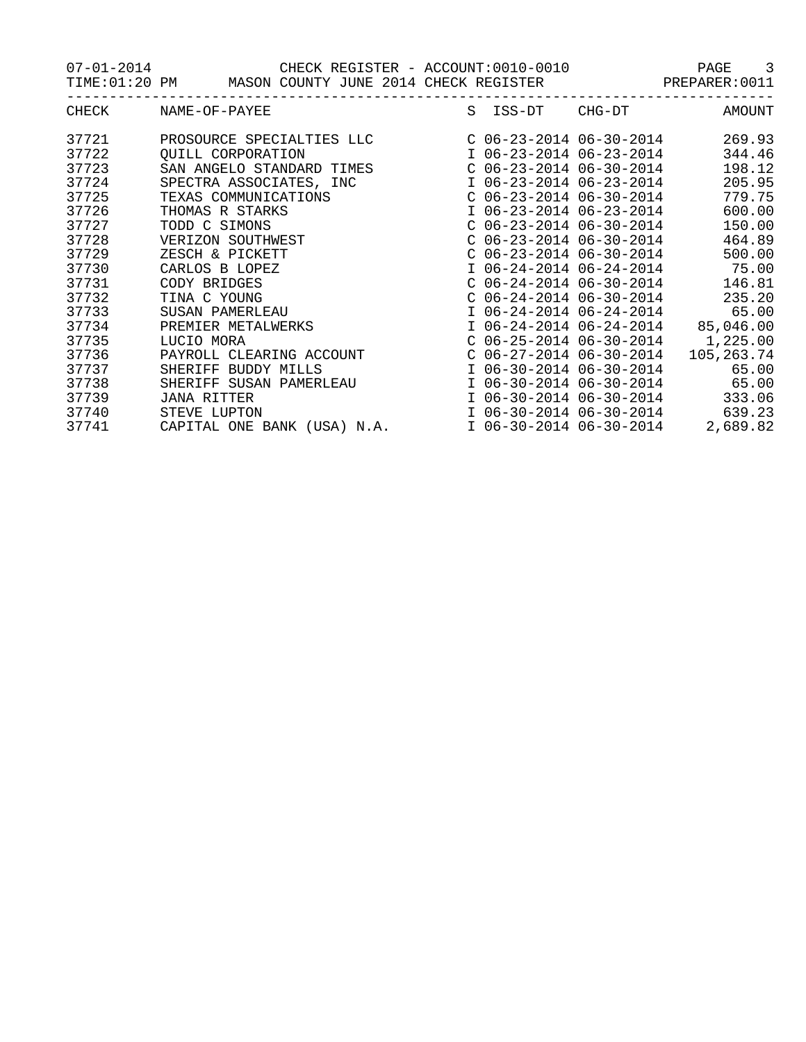07-01-2014 CHECK REGISTER - ACCOUNT:0010-0010 PAGE 3

|       | TIME:01:20 PM MASON COUNTY JUNE 2014 CHECK REGISTER PREPARER:0011                                                                                                                                                                                   |  |                        |
|-------|-----------------------------------------------------------------------------------------------------------------------------------------------------------------------------------------------------------------------------------------------------|--|------------------------|
|       | ------------------<br>CHECK NAME-OF-PAYEE                                                                                                                                                                                                           |  | S ISS-DT CHG-DT AMOUNT |
|       | 37721 PROSOURCE SPECIALTIES LLC C 06-23-2014 06-30-2014 269.93                                                                                                                                                                                      |  |                        |
| 37722 | QUILL CORPORATION                             I 06-23-2014 06-23-2014         344.46<br>SAN ANGELO STANDARD TIMES                    C 06-23-2014 06-30-2014        198.12                                                                          |  |                        |
| 37723 |                                                                                                                                                                                                                                                     |  |                        |
| 37724 | SPECTRA ASSOCIATES, INC<br>TEXAS COMMUNICATIONS<br>C 06-23-2014 06-30-2014 779.75                                                                                                                                                                   |  |                        |
| 37725 |                                                                                                                                                                                                                                                     |  |                        |
| 37726 |                                                                                                                                                                                                                                                     |  |                        |
| 37727 | TEXAS COMMUNICATIONS<br>THOMAS R STARKS<br>TODD C SIMONS<br>TODD C SIMONS<br>TODD C SIMONS<br>TODD C SIMONS<br>TODD C SIMONS<br>SUCRIZON SOUTHWEST<br>C 06-23-2014 06-30-2014<br>C 06-24-2014 06-30-2014<br>C 06-24-2014 06-30-2014<br>C 06-24-2014 |  |                        |
| 37728 |                                                                                                                                                                                                                                                     |  |                        |
| 37729 |                                                                                                                                                                                                                                                     |  |                        |
| 37730 |                                                                                                                                                                                                                                                     |  |                        |
| 37731 |                                                                                                                                                                                                                                                     |  |                        |
| 37732 |                                                                                                                                                                                                                                                     |  |                        |
| 37733 |                                                                                                                                                                                                                                                     |  |                        |
| 37734 |                                                                                                                                                                                                                                                     |  |                        |
| 37735 |                                                                                                                                                                                                                                                     |  |                        |
| 37736 |                                                                                                                                                                                                                                                     |  |                        |
| 37737 |                                                                                                                                                                                                                                                     |  |                        |
| 37738 |                                                                                                                                                                                                                                                     |  |                        |
| 37739 |                                                                                                                                                                                                                                                     |  |                        |
| 37740 | SHERIFF SUSAN PAMERLEAU $106-30-201406-30-2014$ 65.00<br>JANA RITTER 106-30-201406-30-2014<br>STEVE LUPTON 106-30-201406-30-2014 639.23                                                                                                             |  |                        |
|       | 37741 CAPITAL ONE BANK (USA) N.A. 1 06-30-2014 06-30-2014 2,689.82                                                                                                                                                                                  |  |                        |